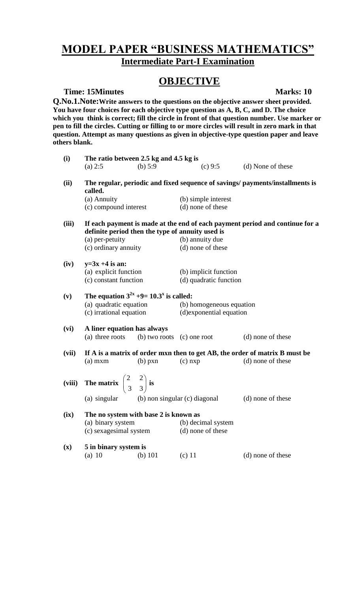# **MODEL PAPER "BUSINESS MATHEMATICS" Intermediate Part-I Examination**

# **OBJECTIVE**

**Time: 15Minutes Marks: 10** 

**Q.No.1.Note:Write answers to the questions on the objective answer sheet provided. You have four choices for each objective type question as A, B, C, and D. The choice which you think is correct; fill the circle in front of that question number. Use marker or pen to fill the circles. Cutting or filling to or more circles will result in zero mark in that question. Attempt as many questions as given in objective-type question paper and leave others blank.**

| (i)            | The ratio between 2.5 kg and 4.5 kg is                                                                                           |           |                          |                   |
|----------------|----------------------------------------------------------------------------------------------------------------------------------|-----------|--------------------------|-------------------|
|                | (a) 2:5                                                                                                                          | (b) $5:9$ | (c) 9:5                  | (d) None of these |
| (ii)           | The regular, periodic and fixed sequence of savings/ payments/installments is<br>called.                                         |           |                          |                   |
|                | (a) Annuity                                                                                                                      |           | (b) simple interest      |                   |
|                | (c) compound interest                                                                                                            |           | (d) none of these        |                   |
| (iii)          | If each payment is made at the end of each payment period and continue for a<br>definite period then the type of annuity used is |           |                          |                   |
|                | (a) per-petuity                                                                                                                  |           | (b) annuity due          |                   |
|                | (c) ordinary annuity                                                                                                             |           | (d) none of these        |                   |
| (iv)           | $y=3x+4$ is an:                                                                                                                  |           |                          |                   |
|                | (a) explicit function                                                                                                            |           | (b) implicit function    |                   |
|                | (c) constant function                                                                                                            |           | (d) quadratic function   |                   |
| (v)            | The equation $3^{2x} +9 = 10.3^x$ is called:                                                                                     |           |                          |                   |
|                | (a) quadratic equation (b) homogeneous equation                                                                                  |           |                          |                   |
|                | (c) irrational equation                                                                                                          |           | (d) exponential equation |                   |
| (vi)           | A liner equation has always                                                                                                      |           |                          |                   |
|                | (a) three roots (b) two roots (c) one root                                                                                       |           |                          | (d) none of these |
| (vii)          | If A is a matrix of order mxn then to get AB, the order of matrix B must be                                                      |           |                          |                   |
|                | $(a)$ mxm                                                                                                                        | $(b)$ pxn | $(c)$ nxp                | (d) none of these |
|                | (viii) The matrix $\begin{pmatrix} 2 & 2 \\ 3 & 3 \end{pmatrix}$ is                                                              |           |                          |                   |
|                | (a) singular (b) non singular (c) diagonal                                                                                       |           |                          | (d) none of these |
| (ix)           | The no system with base 2 is known as                                                                                            |           |                          |                   |
|                | (a) binary system                                                                                                                |           | (b) decimal system       |                   |
|                | (c) sexagesimal system                                                                                                           |           | (d) none of these        |                   |
| $(\mathbf{x})$ | 5 in binary system is                                                                                                            |           |                          |                   |
|                | $(a)$ 10                                                                                                                         | (b) $101$ | $(c)$ 11                 | (d) none of these |
|                |                                                                                                                                  |           |                          |                   |